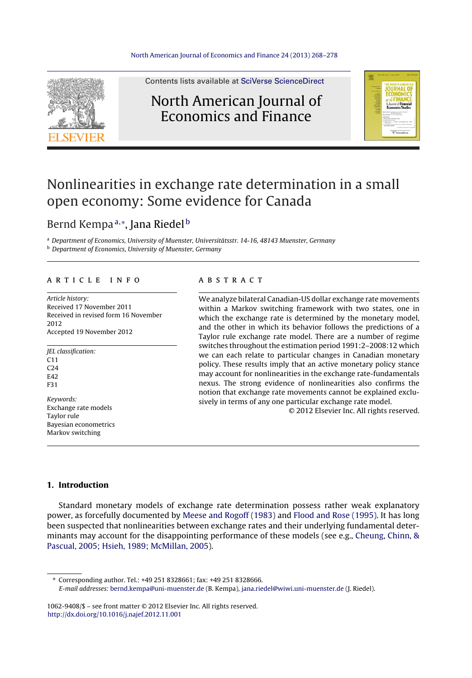

Contents lists available at SciVerse [ScienceDirect](http://www.sciencedirect.com/science/journal/10629408)

### North American Journal of Economics and Finance



## Nonlinearities in exchange rate determination in a small open economy: Some evidence for Canada

### Bernd Kempa<sup>a,</sup>\*, Jana Riedel<sup>b</sup>

<sup>a</sup> Department of Economics, University of Muenster, Universitätsstr. 14-16, 48143 Muenster, Germany **b** Department of Economics, University of Muenster, Germany

#### a r t i c l e i n f o

Article history: Received 17 November 2011 Received in revised form 16 November 2012 Accepted 19 November 2012

JEL classification:  $C11$  $C24$ E42 F31 Keywords: Exchange rate models

Taylor rule Bayesian econometrics Markov switching

#### A B S T R A C T

We analyze bilateral Canadian-US dollar exchange rate movements within a Markov switching framework with two states, one in which the exchange rate is determined by the monetary model, and the other in which its behavior follows the predictions of a Taylor rule exchange rate model. There are a number of regime switches throughout the estimation period 1991:2–2008:12 which we can each relate to particular changes in Canadian monetary policy. These results imply that an active monetary policy stance may account for nonlinearities in the exchange rate-fundamentals nexus. The strong evidence of nonlinearities also confirms the notion that exchange rate movements cannot be explained exclusively in terms of any one particular exchange rate model.

© 2012 Elsevier Inc. All rights reserved.

#### **1. Introduction**

Standard monetary models of exchange rate determination possess rather weak explanatory power, as forcefully documented by [Meese](#page--1-0) [and](#page--1-0) [Rogoff](#page--1-0) [\(1983\)](#page--1-0) and [Flood](#page--1-0) [and](#page--1-0) [Rose](#page--1-0) [\(1995\).](#page--1-0) It has long been suspected that nonlinearities between exchange rates and their underlying fundamental determinants may account for the disappointing performance of these models (see e.g., [Cheung,](#page--1-0) [Chinn,](#page--1-0) [&](#page--1-0) [Pascual,](#page--1-0) [2005;](#page--1-0) [Hsieh,](#page--1-0) [1989;](#page--1-0) [McMillan,](#page--1-0) [2005\).](#page--1-0)

∗ Corresponding author. Tel.: +49 251 8328661; fax: +49 251 8328666.

1062-9408/\$ – see front matter © 2012 Elsevier Inc. All rights reserved. [http://dx.doi.org/10.1016/j.najef.2012.11.001](dx.doi.org/10.1016/j.najef.2012.11.001)

E-mail addresses: [bernd.kempa@uni-muenster.de](mailto:bernd.kempa@uni-muenster.de) (B. Kempa), [jana.riedel@wiwi.uni-muenster.de](mailto:jana.riedel@wiwi.uni-muenster.de) (J. Riedel).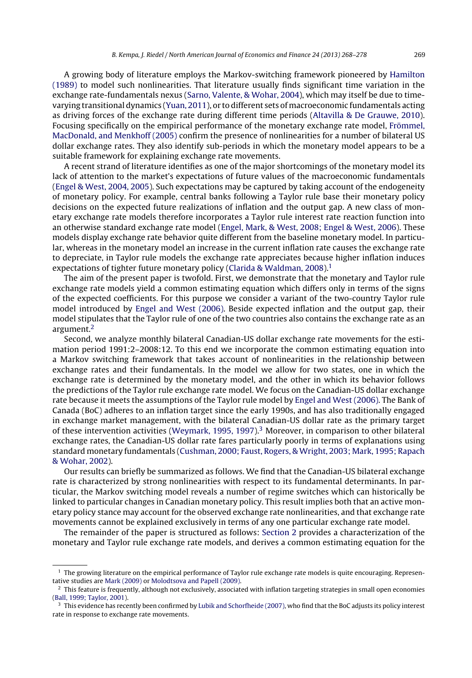A growing body of literature employs the Markov-switching framework pioneered by [Hamilton](#page--1-0) [\(1989\)](#page--1-0) to model such nonlinearities. That literature usually finds significant time variation in the exchange rate-fundamentals nexus ([Sarno,](#page--1-0) [Valente,](#page--1-0) [&](#page--1-0) [Wohar,](#page--1-0) [2004\),](#page--1-0) which may itself be due to timevarying transitional dynamics ([Yuan,](#page--1-0) [2011\),](#page--1-0) or to different sets of macroeconomic fundamentals acting as driving forces of the exchange rate during different time periods [\(Altavilla](#page--1-0) [&](#page--1-0) [De](#page--1-0) [Grauwe,](#page--1-0) [2010\).](#page--1-0) Focusing specifically on the empirical performance of the monetary exchange rate model, [Frömmel,](#page--1-0) [MacDonald,](#page--1-0) [and](#page--1-0) [Menkhoff](#page--1-0) [\(2005\)](#page--1-0) confirm the presence of nonlinearities for a number of bilateral US dollar exchange rates. They also identify sub-periods in which the monetary model appears to be a suitable framework for explaining exchange rate movements.

A recent strand of literature identifies as one of the major shortcomings of the monetary model its lack of attention to the market's expectations of future values of the macroeconomic fundamentals [\(Engel](#page--1-0) [&](#page--1-0) [West,](#page--1-0) [2004,](#page--1-0) [2005\).](#page--1-0) Such expectations may be captured by taking account of the endogeneity of monetary policy. For example, central banks following a Taylor rule base their monetary policy decisions on the expected future realizations of inflation and the output gap. A new class of monetary exchange rate models therefore incorporates a Taylor rule interest rate reaction function into an otherwise standard exchange rate model ([Engel,](#page--1-0) [Mark,](#page--1-0) [&](#page--1-0) [West,](#page--1-0) [2008;](#page--1-0) [Engel](#page--1-0) [&](#page--1-0) [West,](#page--1-0) [2006\).](#page--1-0) These models display exchange rate behavior quite different from the baseline monetary model. In particular, whereas in the monetary model an increase in the current inflation rate causes the exchange rate to depreciate, in Taylor rule models the exchange rate appreciates because higher inflation induces expectations of tighter future monetary policy ([Clarida](#page--1-0) [&](#page--1-0) [Waldman,](#page--1-0) [2008\).](#page--1-0)<sup>1</sup>

The aim of the present paper is twofold. First, we demonstrate that the monetary and Taylor rule exchange rate models yield a common estimating equation which differs only in terms of the signs of the expected coefficients. For this purpose we consider a variant of the two-country Taylor rule model introduced by [Engel](#page--1-0) [and](#page--1-0) [West](#page--1-0) [\(2006\).](#page--1-0) Beside expected inflation and the output gap, their model stipulates that the Taylor rule of one of the two countries also contains the exchange rate as an argument.2

Second, we analyze monthly bilateral Canadian-US dollar exchange rate movements for the estimation period 1991:2–2008:12. To this end we incorporate the common estimating equation into a Markov switching framework that takes account of nonlinearities in the relationship between exchange rates and their fundamentals. In the model we allow for two states, one in which the exchange rate is determined by the monetary model, and the other in which its behavior follows the predictions of the Taylor rule exchange rate model. We focus on the Canadian-US dollar exchange rate because it meets the assumptions of the Taylor rule model by [Engel](#page--1-0) [and](#page--1-0) [West](#page--1-0) [\(2006\).](#page--1-0) The Bank of Canada (BoC) adheres to an inflation target since the early 1990s, and has also traditionally engaged in exchange market management, with the bilateral Canadian-US dollar rate as the primary target of these intervention activities [\(Weymark,](#page--1-0) [1995,](#page--1-0) 1997).<sup>3</sup> Moreover, in comparison to other bilateral exchange rates, the Canadian-US dollar rate fares particularly poorly in terms of explanations using standard monetary fundamentals [\(Cushman,](#page--1-0) [2000;](#page--1-0) [Faust,](#page--1-0) [Rogers,](#page--1-0) [&](#page--1-0) [Wright,](#page--1-0) [2003;](#page--1-0) [Mark,](#page--1-0) [1995;](#page--1-0) [Rapach](#page--1-0) [&](#page--1-0) [Wohar,](#page--1-0) [2002\).](#page--1-0)

Our results can briefly be summarized as follows. We find that the Canadian-US bilateral exchange rate is characterized by strong nonlinearities with respect to its fundamental determinants. In particular, the Markov switching model reveals a number of regime switches which can historically be linked to particular changes in Canadian monetary policy. This result implies both that an active monetary policy stance may account for the observed exchange rate nonlinearities, and that exchange rate movements cannot be explained exclusively in terms of any one particular exchange rate model.

The remainder of the paper is structured as follows: [Section](#page--1-0) [2](#page--1-0) provides a characterization of the monetary and Taylor rule exchange rate models, and derives a common estimating equation for the

 $<sup>1</sup>$  The growing literature on the empirical performance of Taylor rule exchange rate models is quite encouraging. Represen-</sup> tative studies are [Mark](#page--1-0) [\(2009\)](#page--1-0) or [Molodtsova](#page--1-0) [and](#page--1-0) [Papell](#page--1-0) [\(2009\).](#page--1-0)

<sup>&</sup>lt;sup>2</sup> This feature is frequently, although not exclusively, associated with inflation targeting strategies in small open economies ([Ball,](#page--1-0) [1999;](#page--1-0) [Taylor,](#page--1-0) [2001\).](#page--1-0)

 $3$  This evidence has recently been confirmed by [Lubik](#page--1-0) [and](#page--1-0) [Schorfheide](#page--1-0) [\(2007\),](#page--1-0) who find that the BoC adjusts its policy interest rate in response to exchange rate movements.